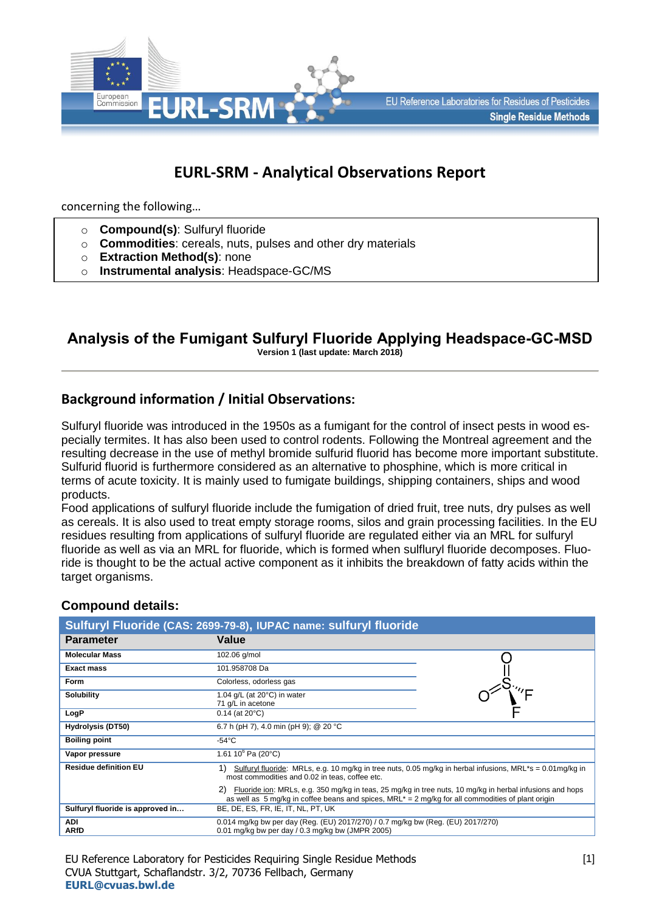

## **EURL-SRM - Analytical Observations Report**

concerning the following…

- o **Compound(s)**: Sulfuryl fluoride
- o **Commodities**: cereals, nuts, pulses and other dry materials
- o **Extraction Method(s)**: none
- o **Instrumental analysis**: Headspace-GC/MS

# **Analysis of the Fumigant Sulfuryl Fluoride Applying Headspace-GC-MSD**

**Version 1 (last update: March 2018)**

## **Background information / Initial Observations:**

Sulfuryl fluoride was introduced in the 1950s as a fumigant for the control of insect pests in wood especially termites. It has also been used to control rodents. Following the Montreal agreement and the resulting decrease in the use of methyl bromide sulfurid fluorid has become more important substitute. Sulfurid fluorid is furthermore considered as an alternative to phosphine, which is more critical in terms of acute toxicity. It is mainly used to fumigate buildings, shipping containers, ships and wood products.

Food applications of sulfuryl fluoride include the fumigation of dried fruit, tree nuts, dry pulses as well as cereals. It is also used to treat empty storage rooms, silos and grain processing facilities. In the EU residues resulting from applications of sulfuryl fluoride are regulated either via an MRL for sulfuryl fluoride as well as via an MRL for fluoride, which is formed when sulfluryl fluoride decomposes. Fluoride is thought to be the actual active component as it inhibits the breakdown of fatty acids within the target organisms.

#### **Compound details:**

| Sulfuryl Fluoride (CAS: 2699-79-8), IUPAC name: sulfuryl fluoride |                                                                                                                                                                                                                  |  |  |  |
|-------------------------------------------------------------------|------------------------------------------------------------------------------------------------------------------------------------------------------------------------------------------------------------------|--|--|--|
| <b>Parameter</b>                                                  | Value                                                                                                                                                                                                            |  |  |  |
| <b>Molecular Mass</b>                                             | 102.06 g/mol                                                                                                                                                                                                     |  |  |  |
| <b>Exact mass</b>                                                 | 101.958708 Da                                                                                                                                                                                                    |  |  |  |
| <b>Form</b>                                                       | Colorless, odorless gas                                                                                                                                                                                          |  |  |  |
| <b>Solubility</b>                                                 | 1.04 $g/L$ (at 20 $^{\circ}$ C) in water<br>71 g/L in acetone                                                                                                                                                    |  |  |  |
| LogP                                                              | $0.14$ (at 20 $^{\circ}$ C)                                                                                                                                                                                      |  |  |  |
| <b>Hydrolysis (DT50)</b>                                          | 6.7 h (pH 7), 4.0 min (pH 9); @ 20 °C                                                                                                                                                                            |  |  |  |
| <b>Boiling point</b>                                              | $-54^{\circ}$ C                                                                                                                                                                                                  |  |  |  |
| Vapor pressure                                                    | 1.61 10 $^{6}$ Pa (20 $^{\circ}$ C)                                                                                                                                                                              |  |  |  |
| <b>Residue definition EU</b>                                      | 1)<br>Sulfuryl fluoride: MRLs, e.g. 10 mg/kg in tree nuts, 0.05 mg/kg in herbal infusions, MRL*s = $0.01$ mg/kg in<br>most commodities and 0.02 in teas, coffee etc.                                             |  |  |  |
|                                                                   | Fluoride ion: MRLs, e.g. 350 mg/kg in teas, 25 mg/kg in tree nuts, 10 mg/kg in herbal infusions and hops<br>as well as 5 mg/kg in coffee beans and spices, $MRL^* = 2$ mg/kg for all commodities of plant origin |  |  |  |
| Sulfuryl fluoride is approved in                                  | BE, DE, ES, FR, IE, IT, NL, PT, UK                                                                                                                                                                               |  |  |  |
| ADI<br><b>ARfD</b>                                                | 0.014 mg/kg bw per day (Reg. (EU) 2017/270) / 0.7 mg/kg bw (Reg. (EU) 2017/270)<br>0.01 mg/kg bw per day / 0.3 mg/kg bw (JMPR 2005)                                                                              |  |  |  |

EU Reference Laboratory for Pesticides Requiring Single Residue Methods CVUA Stuttgart, Schaflandstr. 3/2, 70736 Fellbach, Germany **[EURL@cvuas.bwl.de](mailto:CRL@cvuas.bwl.de)**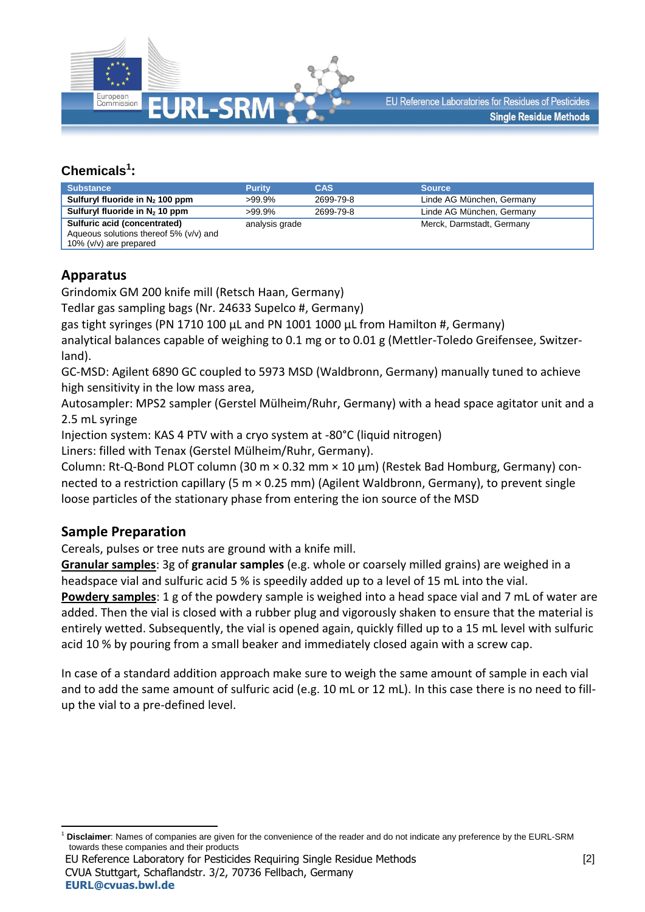

## **Chemicals<sup>1</sup> :**

| <b>Substance</b>                                                                                     | <b>Purity</b>  | <b>CAS</b> | <b>Source</b>             |
|------------------------------------------------------------------------------------------------------|----------------|------------|---------------------------|
| Sulfuryl fluoride in $N_2$ 100 ppm                                                                   | $>99.9\%$      | 2699-79-8  | Linde AG München, Germany |
| Sulfuryl fluoride in $N_2$ 10 ppm                                                                    | $>99.9\%$      | 2699-79-8  | Linde AG München, Germany |
| Sulfuric acid (concentrated)<br>Aqueous solutions thereof 5% (v/v) and<br>10% ( $v/v$ ) are prepared | analysis grade |            | Merck, Darmstadt, Germany |

**Apparatus**

Grindomix GM 200 knife mill (Retsch Haan, Germany)

Tedlar gas sampling bags (Nr. 24633 Supelco #, Germany)

gas tight syringes (PN 1710 100 µL and PN 1001 1000 µL from Hamilton #, Germany)

analytical balances capable of weighing to 0.1 mg or to 0.01 g (Mettler-Toledo Greifensee, Switzerland).

GC-MSD: Agilent 6890 GC coupled to 5973 MSD (Waldbronn, Germany) manually tuned to achieve high sensitivity in the low mass area,

Autosampler: MPS2 sampler (Gerstel Mülheim/Ruhr, Germany) with a head space agitator unit and a 2.5 mL syringe

Injection system: KAS 4 PTV with a cryo system at -80°C (liquid nitrogen)

Liners: filled with Tenax (Gerstel Mülheim/Ruhr, Germany).

Column: Rt-Q-Bond PLOT column (30 m × 0.32 mm × 10 µm) (Restek Bad Homburg, Germany) connected to a restriction capillary (5 m × 0.25 mm) (Agilent Waldbronn, Germany), to prevent single loose particles of the stationary phase from entering the ion source of the MSD

## **Sample Preparation**

Cereals, pulses or tree nuts are ground with a knife mill.

**Granular samples**: 3g of **granular samples** (e.g. whole or coarsely milled grains) are weighed in a headspace vial and sulfuric acid 5 % is speedily added up to a level of 15 mL into the vial.

**Powdery samples**: 1 g of the powdery sample is weighed into a head space vial and 7 mL of water are added. Then the vial is closed with a rubber plug and vigorously shaken to ensure that the material is entirely wetted. Subsequently, the vial is opened again, quickly filled up to a 15 mL level with sulfuric acid 10 % by pouring from a small beaker and immediately closed again with a screw cap.

In case of a standard addition approach make sure to weigh the same amount of sample in each vial and to add the same amount of sulfuric acid (e.g. 10 mL or 12 mL). In this case there is no need to fillup the vial to a pre-defined level.

EU Reference Laboratory for Pesticides Requiring Single Residue Methods CVUA Stuttgart, Schaflandstr. 3/2, 70736 Fellbach, Germany **[EURL@cvuas.bwl.de](mailto:CRL@cvuas.bwl.de)**

<sup>1</sup> <sup>1</sup> **Disclaimer**: Names of companies are given for the convenience of the reader and do not indicate any preference by the EURL-SRM towards these companies and their products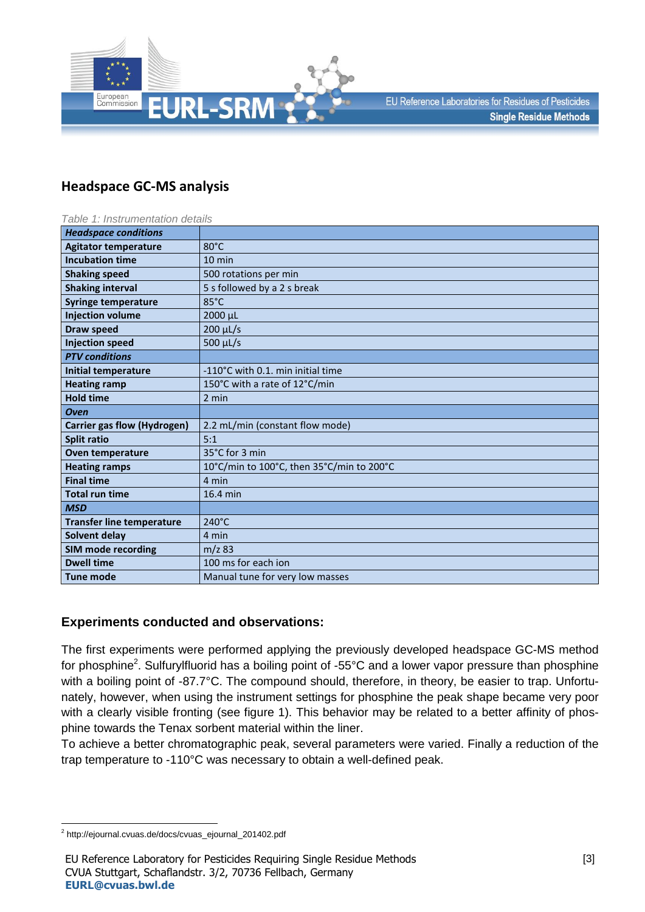

## **Headspace GC-MS analysis**

| Table 1: Instrumentation details   |                                           |  |  |  |
|------------------------------------|-------------------------------------------|--|--|--|
| <b>Headspace conditions</b>        |                                           |  |  |  |
| <b>Agitator temperature</b>        | $80^{\circ}$ C                            |  |  |  |
| <b>Incubation time</b>             | $10 \text{ min}$                          |  |  |  |
| <b>Shaking speed</b>               | 500 rotations per min                     |  |  |  |
| <b>Shaking interval</b>            | 5 s followed by a 2 s break               |  |  |  |
| <b>Syringe temperature</b>         | 85°C                                      |  |  |  |
| <b>Injection volume</b>            | 2000 µL                                   |  |  |  |
| <b>Draw speed</b>                  | $200 \mu L/s$                             |  |  |  |
| <b>Injection speed</b>             | 500 µL/s                                  |  |  |  |
| <b>PTV</b> conditions              |                                           |  |  |  |
| Initial temperature                | -110°C with 0.1, min initial time         |  |  |  |
| <b>Heating ramp</b>                | 150°C with a rate of 12°C/min             |  |  |  |
| <b>Hold time</b>                   | 2 min                                     |  |  |  |
| <b>Oven</b>                        |                                           |  |  |  |
| <b>Carrier gas flow (Hydrogen)</b> | 2.2 mL/min (constant flow mode)           |  |  |  |
| <b>Split ratio</b>                 | 5:1                                       |  |  |  |
| Oven temperature                   | 35°C for 3 min                            |  |  |  |
| <b>Heating ramps</b>               | 10°C/min to 100°C, then 35°C/min to 200°C |  |  |  |
| <b>Final time</b>                  | 4 min                                     |  |  |  |
| <b>Total run time</b>              | 16.4 min                                  |  |  |  |
| <b>MSD</b>                         |                                           |  |  |  |
| <b>Transfer line temperature</b>   | $240^{\circ}$ C                           |  |  |  |
| Solvent delay                      | 4 min                                     |  |  |  |
| <b>SIM mode recording</b>          | $m/z$ 83                                  |  |  |  |
| <b>Dwell time</b>                  | 100 ms for each ion                       |  |  |  |
| <b>Tune mode</b>                   | Manual tune for very low masses           |  |  |  |

## **Experiments conducted and observations:**

The first experiments were performed applying the previously developed headspace GC-MS method for phosphine<sup>2</sup>. Sulfurylfluorid has a boiling point of -55°C and a lower vapor pressure than phosphine with a boiling point of -87.7°C. The compound should, therefore, in theory, be easier to trap. Unfortunately, however, when using the instrument settings for phosphine the peak shape became very poor with a clearly visible fronting (see figure 1). This behavior may be related to a better affinity of phosphine towards the Tenax sorbent material within the liner.

To achieve a better chromatographic peak, several parameters were varied. Finally a reduction of the trap temperature to -110°C was necessary to obtain a well-defined peak.

 2 http://ejournal.cvuas.de/docs/cvuas\_ejournal\_201402.pdf

EU Reference Laboratory for Pesticides Requiring Single Residue Methods CVUA Stuttgart, Schaflandstr. 3/2, 70736 Fellbach, Germany **[EURL@cvuas.bwl.de](mailto:CRL@cvuas.bwl.de)**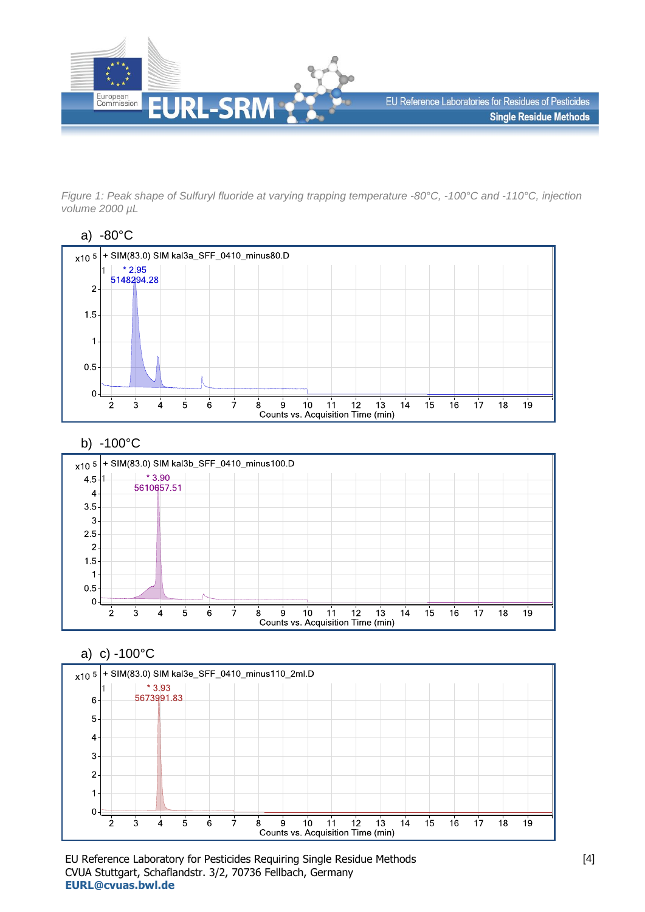

*Figure 1: Peak shape of Sulfuryl fluoride at varying trapping temperature -80°C, -100°C and -110°C, injection volume 2000 µL*





## b) -100°C



a) c) -100°C



EU Reference Laboratory for Pesticides Requiring Single Residue Methods CVUA Stuttgart, Schaflandstr. 3/2, 70736 Fellbach, Germany **[EURL@cvuas.bwl.de](mailto:CRL@cvuas.bwl.de)**